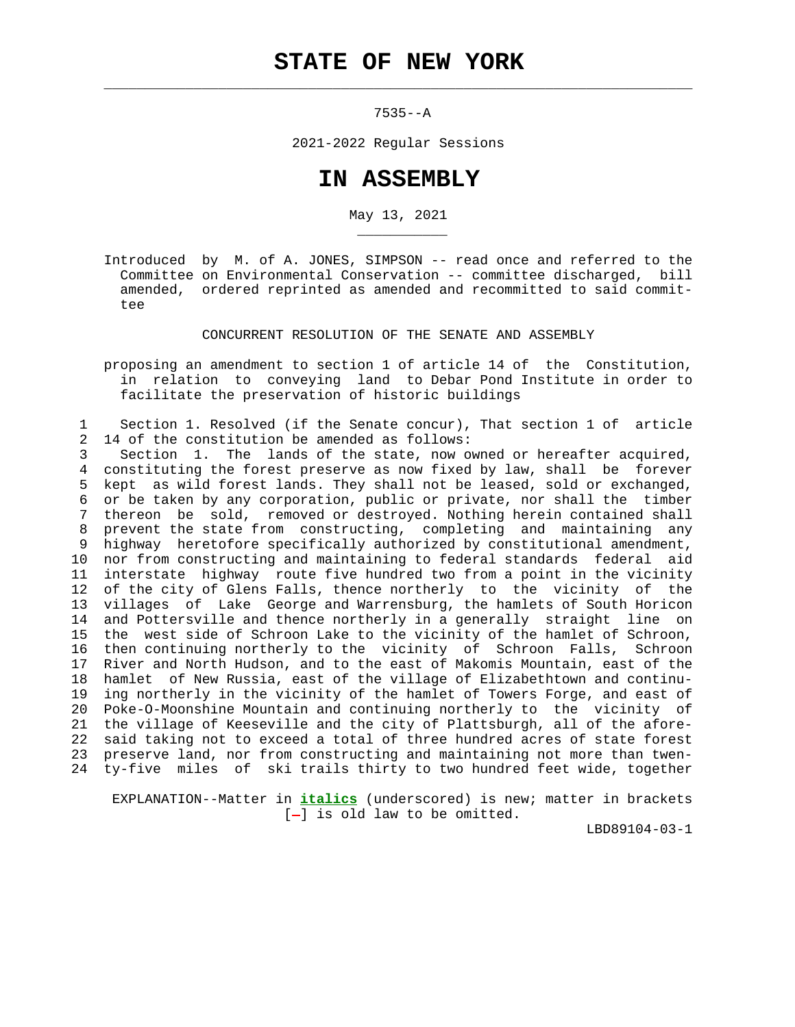$\mathcal{L}_\text{max} = \frac{1}{2} \sum_{i=1}^{n} \frac{1}{2} \sum_{i=1}^{n} \frac{1}{2} \sum_{i=1}^{n} \frac{1}{2} \sum_{i=1}^{n} \frac{1}{2} \sum_{i=1}^{n} \frac{1}{2} \sum_{i=1}^{n} \frac{1}{2} \sum_{i=1}^{n} \frac{1}{2} \sum_{i=1}^{n} \frac{1}{2} \sum_{i=1}^{n} \frac{1}{2} \sum_{i=1}^{n} \frac{1}{2} \sum_{i=1}^{n} \frac{1}{2} \sum_{i=1}^{n} \frac{1$ 

\_\_\_\_\_\_\_\_\_\_\_

7535--A

2021-2022 Regular Sessions

## **IN ASSEMBLY**

May 13, 2021

 Introduced by M. of A. JONES, SIMPSON -- read once and referred to the Committee on Environmental Conservation -- committee discharged, bill amended, ordered reprinted as amended and recommitted to said commit tee

## CONCURRENT RESOLUTION OF THE SENATE AND ASSEMBLY

 proposing an amendment to section 1 of article 14 of the Constitution, in relation to conveying land to Debar Pond Institute in order to facilitate the preservation of historic buildings

 1 Section 1. Resolved (if the Senate concur), That section 1 of article 2 14 of the constitution be amended as follows:

 3 Section 1. The lands of the state, now owned or hereafter acquired, 4 constituting the forest preserve as now fixed by law, shall be forever 5 kept as wild forest lands. They shall not be leased, sold or exchanged, 6 or be taken by any corporation, public or private, nor shall the timber 7 thereon be sold, removed or destroyed. Nothing herein contained shall 8 prevent the state from constructing, completing and maintaining any 9 highway heretofore specifically authorized by constitutional amendment, 10 nor from constructing and maintaining to federal standards federal aid 11 interstate highway route five hundred two from a point in the vicinity 12 of the city of Glens Falls, thence northerly to the vicinity of the 13 villages of Lake George and Warrensburg, the hamlets of South Horicon 14 and Pottersville and thence northerly in a generally straight line on 15 the west side of Schroon Lake to the vicinity of the hamlet of Schroon, 16 then continuing northerly to the vicinity of Schroon Falls, Schroon 17 River and North Hudson, and to the east of Makomis Mountain, east of the 18 hamlet of New Russia, east of the village of Elizabethtown and continu- 19 ing northerly in the vicinity of the hamlet of Towers Forge, and east of 20 Poke-O-Moonshine Mountain and continuing northerly to the vicinity of 21 the village of Keeseville and the city of Plattsburgh, all of the afore- 22 said taking not to exceed a total of three hundred acres of state forest 23 preserve land, nor from constructing and maintaining not more than twen- 24 ty-five miles of ski trails thirty to two hundred feet wide, together

 EXPLANATION--Matter in **italics** (underscored) is new; matter in brackets  $[-]$  is old law to be omitted.

LBD89104-03-1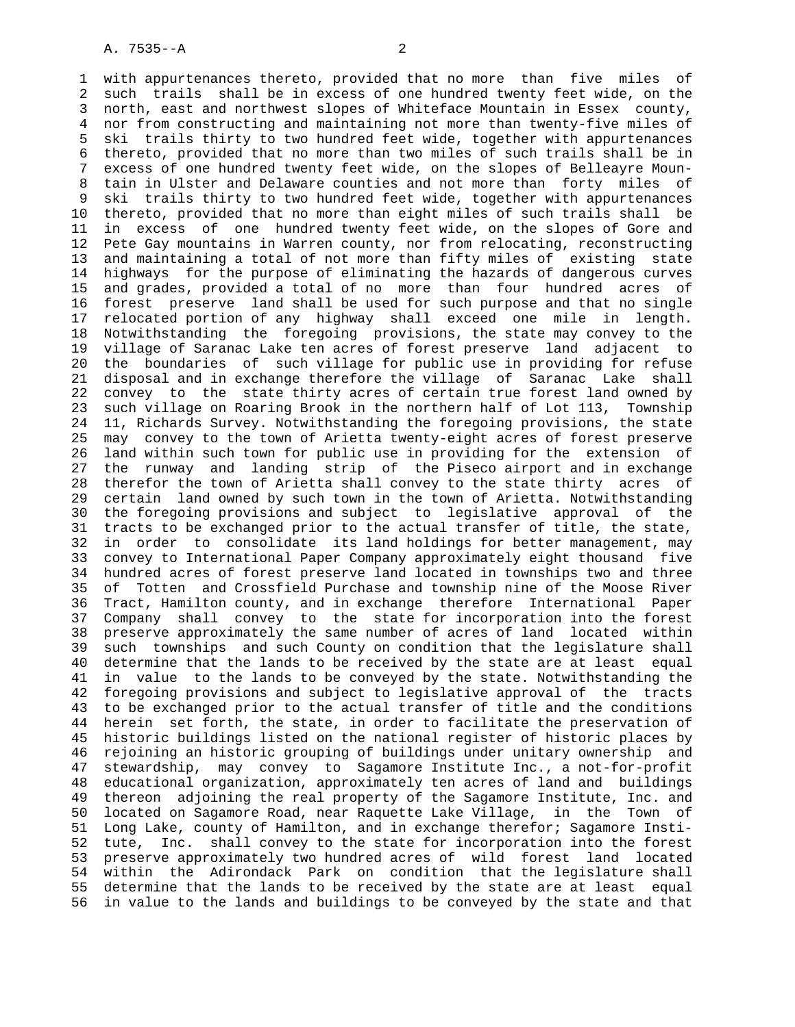1 with appurtenances thereto, provided that no more than five miles of 2 such trails shall be in excess of one hundred twenty feet wide, on the 3 north, east and northwest slopes of Whiteface Mountain in Essex county, 4 nor from constructing and maintaining not more than twenty-five miles of 5 ski trails thirty to two hundred feet wide, together with appurtenances 6 thereto, provided that no more than two miles of such trails shall be in 7 excess of one hundred twenty feet wide, on the slopes of Belleayre Moun- 8 tain in Ulster and Delaware counties and not more than forty miles of 9 ski trails thirty to two hundred feet wide, together with appurtenances 10 thereto, provided that no more than eight miles of such trails shall be 11 in excess of one hundred twenty feet wide, on the slopes of Gore and 12 Pete Gay mountains in Warren county, nor from relocating, reconstructing 13 and maintaining a total of not more than fifty miles of existing state 14 highways for the purpose of eliminating the hazards of dangerous curves 15 and grades, provided a total of no more than four hundred acres of 16 forest preserve land shall be used for such purpose and that no single 17 relocated portion of any highway shall exceed one mile in length. 18 Notwithstanding the foregoing provisions, the state may convey to the 19 village of Saranac Lake ten acres of forest preserve land adjacent to 20 the boundaries of such village for public use in providing for refuse 21 disposal and in exchange therefore the village of Saranac Lake shall 22 convey to the state thirty acres of certain true forest land owned by 23 such village on Roaring Brook in the northern half of Lot 113, Township 24 11, Richards Survey. Notwithstanding the foregoing provisions, the state 25 may convey to the town of Arietta twenty-eight acres of forest preserve 26 land within such town for public use in providing for the extension of 27 the runway and landing strip of the Piseco airport and in exchange 28 therefor the town of Arietta shall convey to the state thirty acres of 29 certain land owned by such town in the town of Arietta. Notwithstanding 30 the foregoing provisions and subject to legislative approval of the 31 tracts to be exchanged prior to the actual transfer of title, the state, 32 in order to consolidate its land holdings for better management, may 33 convey to International Paper Company approximately eight thousand five 34 hundred acres of forest preserve land located in townships two and three 35 of Totten and Crossfield Purchase and township nine of the Moose River 36 Tract, Hamilton county, and in exchange therefore International Paper 37 Company shall convey to the state for incorporation into the forest 38 preserve approximately the same number of acres of land located within 39 such townships and such County on condition that the legislature shall 40 determine that the lands to be received by the state are at least equal 41 in value to the lands to be conveyed by the state. Notwithstanding the 42 foregoing provisions and subject to legislative approval of the tracts 43 to be exchanged prior to the actual transfer of title and the conditions 44 herein set forth, the state, in order to facilitate the preservation of 45 historic buildings listed on the national register of historic places by 46 rejoining an historic grouping of buildings under unitary ownership and 47 stewardship, may convey to Sagamore Institute Inc., a not-for-profit 48 educational organization, approximately ten acres of land and buildings 49 thereon adjoining the real property of the Sagamore Institute, Inc. and 50 located on Sagamore Road, near Raquette Lake Village, in the Town of 51 Long Lake, county of Hamilton, and in exchange therefor; Sagamore Insti- 52 tute, Inc. shall convey to the state for incorporation into the forest 53 preserve approximately two hundred acres of wild forest land located 54 within the Adirondack Park on condition that the legislature shall 55 determine that the lands to be received by the state are at least equal 56 in value to the lands and buildings to be conveyed by the state and that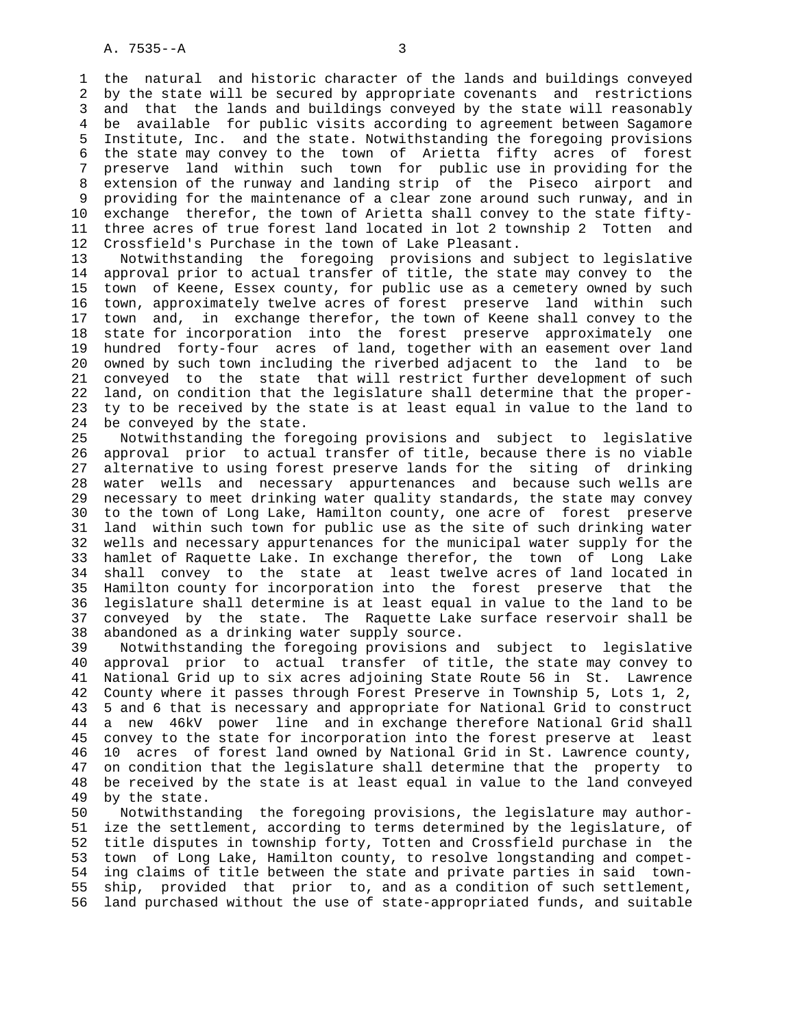1 the natural and historic character of the lands and buildings conveyed 2 by the state will be secured by appropriate covenants and restrictions 3 and that the lands and buildings conveyed by the state will reasonably 4 be available for public visits according to agreement between Sagamore 5 Institute, Inc. and the state. Notwithstanding the foregoing provisions 6 the state may convey to the town of Arietta fifty acres of forest 7 preserve land within such town for public use in providing for the 8 extension of the runway and landing strip of the Piseco airport and 9 providing for the maintenance of a clear zone around such runway, and in 10 exchange therefor, the town of Arietta shall convey to the state fifty- 11 three acres of true forest land located in lot 2 township 2 Totten and 12 Crossfield's Purchase in the town of Lake Pleasant.

 13 Notwithstanding the foregoing provisions and subject to legislative 14 approval prior to actual transfer of title, the state may convey to the 15 town of Keene, Essex county, for public use as a cemetery owned by such 16 town, approximately twelve acres of forest preserve land within such 17 town and, in exchange therefor, the town of Keene shall convey to the 18 state for incorporation into the forest preserve approximately one 19 hundred forty-four acres of land, together with an easement over land 20 owned by such town including the riverbed adjacent to the land to be 21 conveyed to the state that will restrict further development of such 22 land, on condition that the legislature shall determine that the proper- 23 ty to be received by the state is at least equal in value to the land to 24 be conveyed by the state.

 25 Notwithstanding the foregoing provisions and subject to legislative 26 approval prior to actual transfer of title, because there is no viable 27 alternative to using forest preserve lands for the siting of drinking 28 water wells and necessary appurtenances and because such wells are 29 necessary to meet drinking water quality standards, the state may convey 30 to the town of Long Lake, Hamilton county, one acre of forest preserve 31 land within such town for public use as the site of such drinking water 32 wells and necessary appurtenances for the municipal water supply for the 33 hamlet of Raquette Lake. In exchange therefor, the town of Long Lake 34 shall convey to the state at least twelve acres of land located in 35 Hamilton county for incorporation into the forest preserve that the 36 legislature shall determine is at least equal in value to the land to be 37 conveyed by the state. The Raquette Lake surface reservoir shall be 38 abandoned as a drinking water supply source.

 39 Notwithstanding the foregoing provisions and subject to legislative 40 approval prior to actual transfer of title, the state may convey to 41 National Grid up to six acres adjoining State Route 56 in St. Lawrence 42 County where it passes through Forest Preserve in Township 5, Lots 1, 2, 43 5 and 6 that is necessary and appropriate for National Grid to construct 44 a new 46kV power line and in exchange therefore National Grid shall 45 convey to the state for incorporation into the forest preserve at least 46 10 acres of forest land owned by National Grid in St. Lawrence county, 47 on condition that the legislature shall determine that the property to 48 be received by the state is at least equal in value to the land conveyed 49 by the state.

 50 Notwithstanding the foregoing provisions, the legislature may author- 51 ize the settlement, according to terms determined by the legislature, of 52 title disputes in township forty, Totten and Crossfield purchase in the 53 town of Long Lake, Hamilton county, to resolve longstanding and compet- 54 ing claims of title between the state and private parties in said town- 55 ship, provided that prior to, and as a condition of such settlement, 56 land purchased without the use of state-appropriated funds, and suitable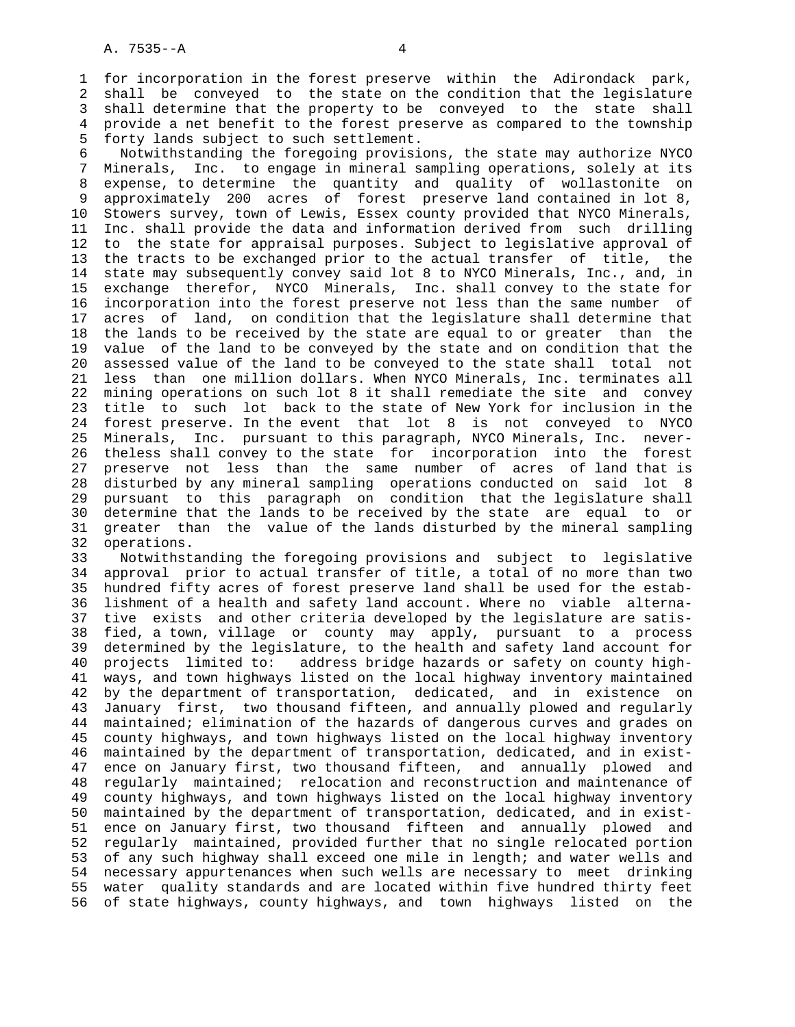1 for incorporation in the forest preserve within the Adirondack park, 2 shall be conveyed to the state on the condition that the legislature 3 shall determine that the property to be conveyed to the state shall 4 provide a net benefit to the forest preserve as compared to the township 5 forty lands subject to such settlement.

 6 Notwithstanding the foregoing provisions, the state may authorize NYCO 7 Minerals, Inc. to engage in mineral sampling operations, solely at its 8 expense, to determine the quantity and quality of wollastonite on 9 approximately 200 acres of forest preserve land contained in lot 8, 10 Stowers survey, town of Lewis, Essex county provided that NYCO Minerals, 11 Inc. shall provide the data and information derived from such drilling 12 to the state for appraisal purposes. Subject to legislative approval of 13 the tracts to be exchanged prior to the actual transfer of title, the 14 state may subsequently convey said lot 8 to NYCO Minerals, Inc., and, in 15 exchange therefor, NYCO Minerals, Inc. shall convey to the state for 16 incorporation into the forest preserve not less than the same number of 17 acres of land, on condition that the legislature shall determine that 18 the lands to be received by the state are equal to or greater than the 19 value of the land to be conveyed by the state and on condition that the 20 assessed value of the land to be conveyed to the state shall total not 21 less than one million dollars. When NYCO Minerals, Inc. terminates all 22 mining operations on such lot 8 it shall remediate the site and convey 23 title to such lot back to the state of New York for inclusion in the 24 forest preserve. In the event that lot 8 is not conveyed to NYCO 25 Minerals, Inc. pursuant to this paragraph, NYCO Minerals, Inc. never- 26 theless shall convey to the state for incorporation into the forest 27 preserve not less than the same number of acres of land that is 28 disturbed by any mineral sampling operations conducted on said lot 8 29 pursuant to this paragraph on condition that the legislature shall 30 determine that the lands to be received by the state are equal to or 31 greater than the value of the lands disturbed by the mineral sampling 32 operations.

 33 Notwithstanding the foregoing provisions and subject to legislative 34 approval prior to actual transfer of title, a total of no more than two 35 hundred fifty acres of forest preserve land shall be used for the estab- 36 lishment of a health and safety land account. Where no viable alterna- 37 tive exists and other criteria developed by the legislature are satis- 38 fied, a town, village or county may apply, pursuant to a process 39 determined by the legislature, to the health and safety land account for 40 projects limited to: address bridge hazards or safety on county high- 41 ways, and town highways listed on the local highway inventory maintained 42 by the department of transportation, dedicated, and in existence on 43 January first, two thousand fifteen, and annually plowed and regularly 44 maintained; elimination of the hazards of dangerous curves and grades on 45 county highways, and town highways listed on the local highway inventory 46 maintained by the department of transportation, dedicated, and in exist- 47 ence on January first, two thousand fifteen, and annually plowed and 48 regularly maintained; relocation and reconstruction and maintenance of 49 county highways, and town highways listed on the local highway inventory 50 maintained by the department of transportation, dedicated, and in exist- 51 ence on January first, two thousand fifteen and annually plowed and 52 regularly maintained, provided further that no single relocated portion 53 of any such highway shall exceed one mile in length; and water wells and 54 necessary appurtenances when such wells are necessary to meet drinking 55 water quality standards and are located within five hundred thirty feet 56 of state highways, county highways, and town highways listed on the